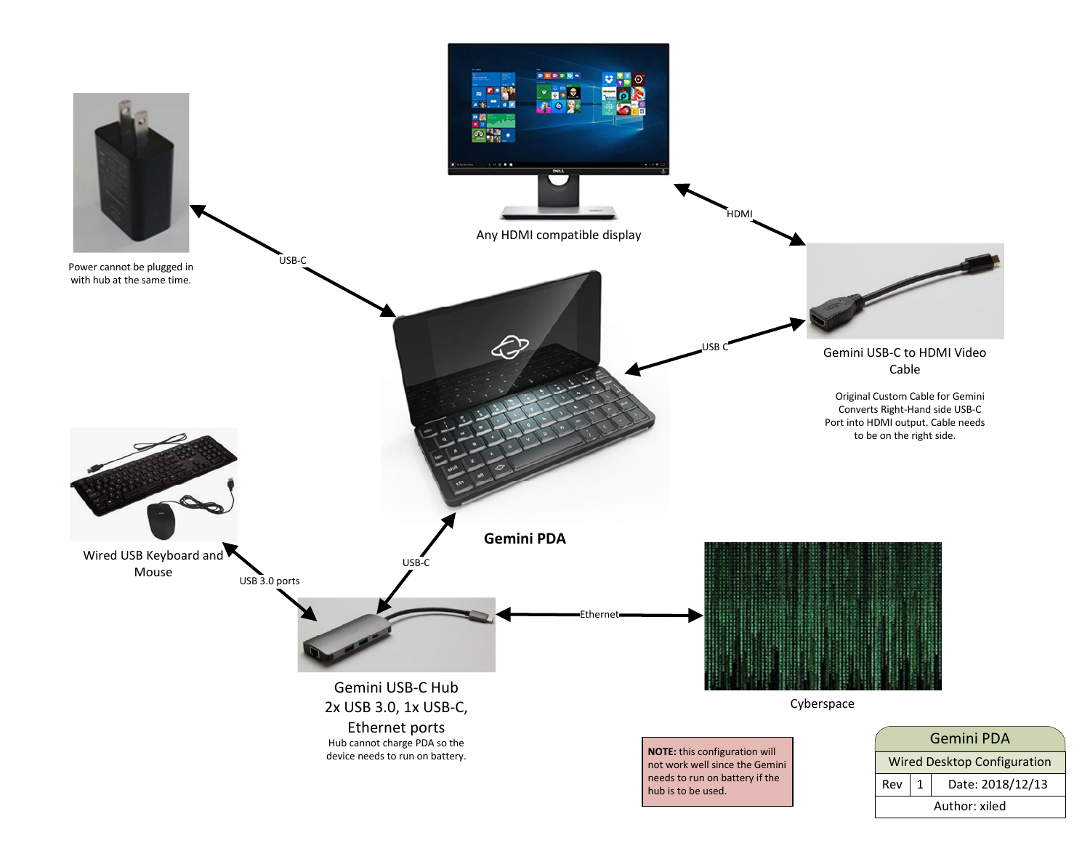